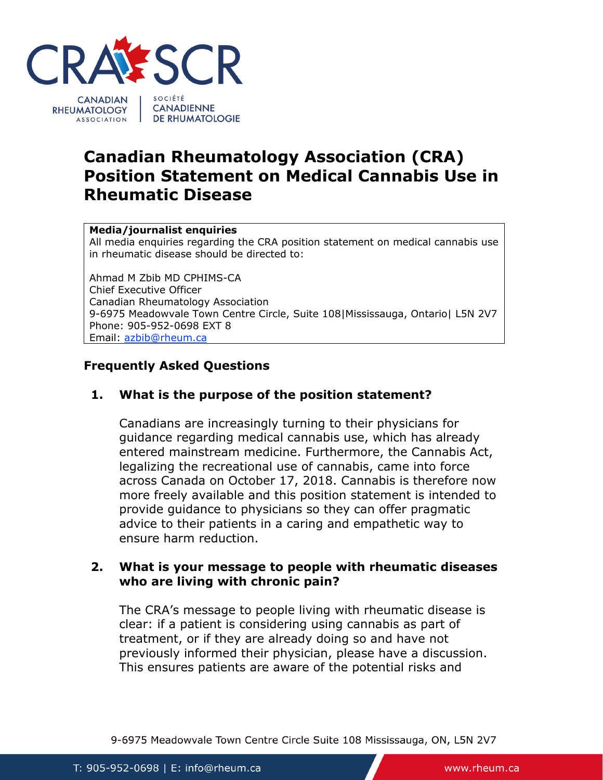

# **Canadian Rheumatology Association (CRA) Position Statement on Medical Cannabis Use in Rheumatic Disease**

#### **Media/journalist enquiries**

All media enquiries regarding the CRA position statement on medical cannabis use in rheumatic disease should be directed to:

Ahmad M Zbib MD CPHIMS-CA Chief Executive Officer Canadian Rheumatology Association 9-6975 Meadowvale Town Centre Circle, Suite 108|Mississauga, Ontario| L5N 2V7 Phone: 905-952-0698 EXT 8 Email: [azbib@rheum.ca](mailto:azbib@rheum.ca)

### **Frequently Asked Questions**

### **1. What is the purpose of the position statement?**

Canadians are increasingly turning to their physicians for guidance regarding medical cannabis use, which has already entered mainstream medicine. Furthermore, the Cannabis Act, legalizing the recreational use of cannabis, came into force across Canada on October 17, 2018. Cannabis is therefore now more freely available and this position statement is intended to provide guidance to physicians so they can offer pragmatic advice to their patients in a caring and empathetic way to ensure harm reduction.

#### **2. What is your message to people with rheumatic diseases who are living with chronic pain?**

The CRA's message to people living with rheumatic disease is clear: if a patient is considering using cannabis as part of treatment, or if they are already doing so and have not previously informed their physician, please have a discussion. This ensures patients are aware of the potential risks and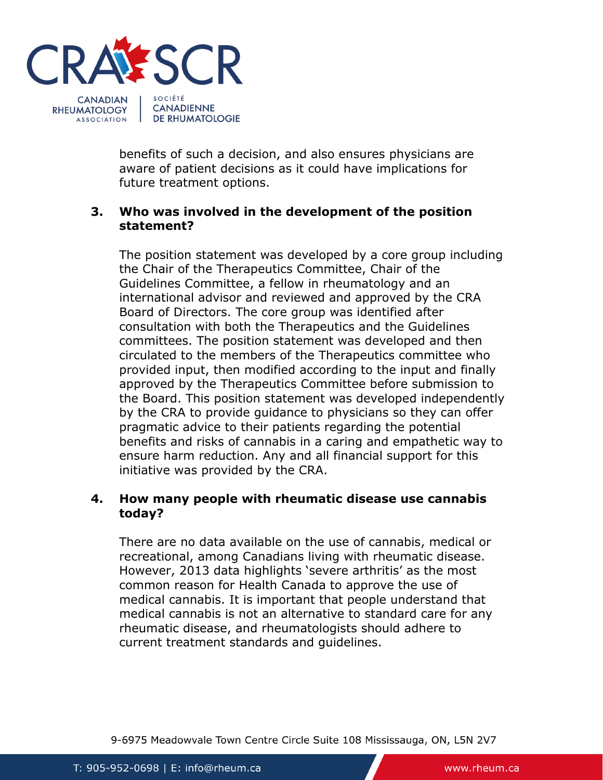

benefits of such a decision, and also ensures physicians are aware of patient decisions as it could have implications for future treatment options.

## **3. Who was involved in the development of the position statement?**

The position statement was developed by a core group including the Chair of the Therapeutics Committee, Chair of the Guidelines Committee, a fellow in rheumatology and an international advisor and reviewed and approved by the CRA Board of Directors. The core group was identified after consultation with both the Therapeutics and the Guidelines committees. The position statement was developed and then circulated to the members of the Therapeutics committee who provided input, then modified according to the input and finally approved by the Therapeutics Committee before submission to the Board. This position statement was developed independently by the CRA to provide guidance to physicians so they can offer pragmatic advice to their patients regarding the potential benefits and risks of cannabis in a caring and empathetic way to ensure harm reduction. Any and all financial support for this initiative was provided by the CRA.

### **4. How many people with rheumatic disease use cannabis today?**

There are no data available on the use of cannabis, medical or recreational, among Canadians living with rheumatic disease. However, 2013 data highlights 'severe arthritis' as the most common reason for Health Canada to approve the use of medical cannabis. It is important that people understand that medical cannabis is not an alternative to standard care for any rheumatic disease, and rheumatologists should adhere to current treatment standards and guidelines.

9-6975 Meadowvale Town Centre Circle Suite 108 Mississauga, ON, L5N 2V7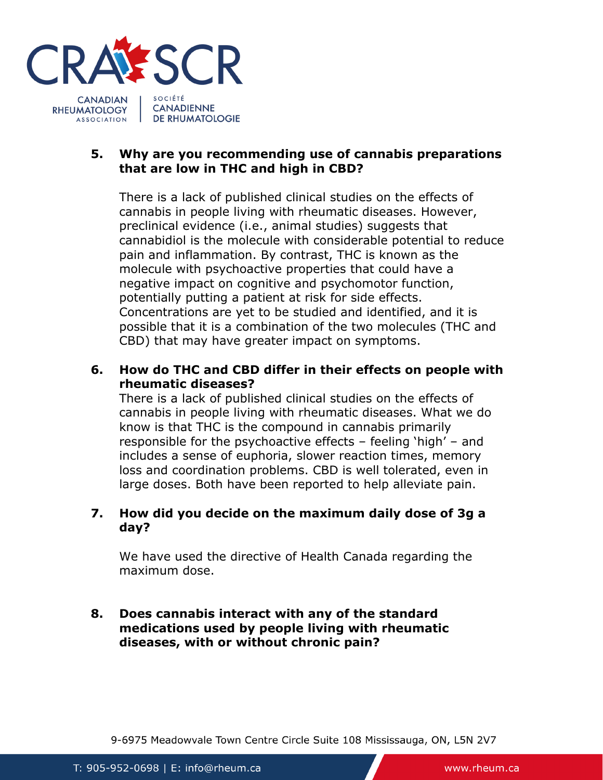

### **5. Why are you recommending use of cannabis preparations that are low in THC and high in CBD?**

There is a lack of published clinical studies on the effects of cannabis in people living with rheumatic diseases. However, preclinical evidence (i.e., animal studies) suggests that cannabidiol is the molecule with considerable potential to reduce pain and inflammation. By contrast, THC is known as the molecule with psychoactive properties that could have a negative impact on cognitive and psychomotor function, potentially putting a patient at risk for side effects. Concentrations are yet to be studied and identified, and it is possible that it is a combination of the two molecules (THC and CBD) that may have greater impact on symptoms.

# **6. How do THC and CBD differ in their effects on people with rheumatic diseases?**

There is a lack of published clinical studies on the effects of cannabis in people living with rheumatic diseases. What we do know is that THC is the compound in cannabis primarily responsible for the psychoactive effects – feeling 'high' – and includes a sense of euphoria, slower reaction times, memory loss and coordination problems. CBD is well tolerated, even in large doses. Both have been reported to help alleviate pain.

### **7. How did you decide on the maximum daily dose of 3g a day?**

We have used the directive of Health Canada regarding the maximum dose.

#### **8. Does cannabis interact with any of the standard medications used by people living with rheumatic diseases, with or without chronic pain?**

9-6975 Meadowvale Town Centre Circle Suite 108 Mississauga, ON, L5N 2V7